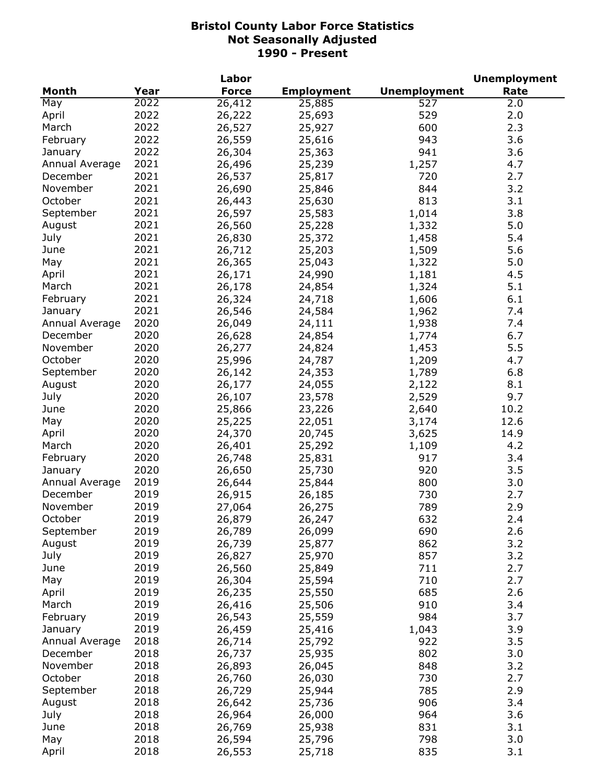|                |      | Labor        |                   |                     | <b>Unemployment</b> |
|----------------|------|--------------|-------------------|---------------------|---------------------|
| Month          | Year | <b>Force</b> | <b>Employment</b> | <b>Unemployment</b> | Rate                |
| May            | 2022 | 26,412       | 25,885            | 527                 | 2.0                 |
| April          | 2022 | 26,222       | 25,693            | 529                 | 2.0                 |
| March          | 2022 | 26,527       | 25,927            | 600                 | 2.3                 |
| February       | 2022 | 26,559       | 25,616            | 943                 | 3.6                 |
| January        | 2022 | 26,304       | 25,363            | 941                 | 3.6                 |
| Annual Average | 2021 | 26,496       | 25,239            | 1,257               | 4.7                 |
| December       | 2021 | 26,537       | 25,817            | 720                 | 2.7                 |
| November       | 2021 | 26,690       | 25,846            | 844                 | 3.2                 |
| October        | 2021 | 26,443       | 25,630            | 813                 | 3.1                 |
| September      | 2021 | 26,597       | 25,583            | 1,014               | 3.8                 |
| August         | 2021 | 26,560       | 25,228            | 1,332               | 5.0                 |
| July           | 2021 | 26,830       | 25,372            | 1,458               | 5.4                 |
| June           | 2021 | 26,712       | 25,203            | 1,509               | 5.6                 |
| May            | 2021 | 26,365       | 25,043            | 1,322               | 5.0                 |
| April          | 2021 | 26,171       | 24,990            | 1,181               | 4.5                 |
| March          | 2021 | 26,178       | 24,854            | 1,324               | 5.1                 |
| February       | 2021 | 26,324       | 24,718            | 1,606               | 6.1                 |
|                | 2021 | 26,546       |                   |                     | 7.4                 |
| January        | 2020 |              | 24,584            | 1,962               |                     |
| Annual Average |      | 26,049       | 24,111            | 1,938               | 7.4                 |
| December       | 2020 | 26,628       | 24,854            | 1,774               | 6.7                 |
| November       | 2020 | 26,277       | 24,824            | 1,453               | 5.5                 |
| October        | 2020 | 25,996       | 24,787            | 1,209               | 4.7                 |
| September      | 2020 | 26,142       | 24,353            | 1,789               | 6.8                 |
| August         | 2020 | 26,177       | 24,055            | 2,122               | 8.1                 |
| July           | 2020 | 26,107       | 23,578            | 2,529               | 9.7                 |
| June           | 2020 | 25,866       | 23,226            | 2,640               | 10.2                |
| May            | 2020 | 25,225       | 22,051            | 3,174               | 12.6                |
| April          | 2020 | 24,370       | 20,745            | 3,625               | 14.9                |
| March          | 2020 | 26,401       | 25,292            | 1,109               | 4.2                 |
| February       | 2020 | 26,748       | 25,831            | 917                 | 3.4                 |
| January        | 2020 | 26,650       | 25,730            | 920                 | 3.5                 |
| Annual Average | 2019 | 26,644       | 25,844            | 800                 | 3.0                 |
| December       | 2019 | 26,915       | 26,185            | 730                 | 2.7                 |
| November       | 2019 | 27,064       | 26,275            | 789                 | 2.9                 |
| October        | 2019 | 26,879       | 26,247            | 632                 | 2.4                 |
| September      | 2019 | 26,789       | 26,099            | 690                 | 2.6                 |
| August         | 2019 | 26,739       | 25,877            | 862                 | 3.2                 |
| July           | 2019 | 26,827       | 25,970            | 857                 | 3.2                 |
| June           | 2019 | 26,560       | 25,849            | 711                 | 2.7                 |
| May            | 2019 | 26,304       | 25,594            | 710                 | 2.7                 |
| April          | 2019 | 26,235       | 25,550            | 685                 | 2.6                 |
| March          | 2019 | 26,416       | 25,506            | 910                 | 3.4                 |
| February       | 2019 | 26,543       | 25,559            | 984                 | 3.7                 |
| January        | 2019 | 26,459       | 25,416            | 1,043               | 3.9                 |
| Annual Average | 2018 | 26,714       | 25,792            | 922                 | 3.5                 |
| December       | 2018 | 26,737       | 25,935            | 802                 | 3.0                 |
| November       | 2018 | 26,893       | 26,045            | 848                 | 3.2                 |
| October        | 2018 | 26,760       | 26,030            | 730                 | 2.7                 |
| September      | 2018 | 26,729       | 25,944            | 785                 | 2.9                 |
| August         | 2018 | 26,642       | 25,736            | 906                 | 3.4                 |
| July           | 2018 | 26,964       | 26,000            | 964                 | 3.6                 |
| June           | 2018 | 26,769       | 25,938            | 831                 | 3.1                 |
| May            | 2018 | 26,594       | 25,796            | 798                 | 3.0                 |
| April          | 2018 | 26,553       | 25,718            | 835                 | 3.1                 |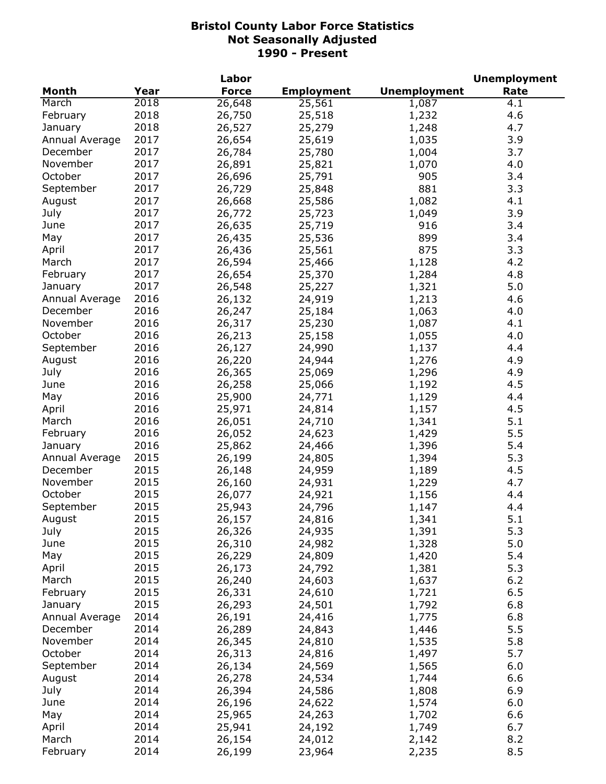|                |      | Labor        |                   |                     | <b>Unemployment</b> |
|----------------|------|--------------|-------------------|---------------------|---------------------|
| <b>Month</b>   | Year | <b>Force</b> | <b>Employment</b> | <b>Unemployment</b> | Rate                |
| March          | 2018 | 26,648       | 25,561            | 1,087               | 4.1                 |
| February       | 2018 | 26,750       | 25,518            | 1,232               | 4.6                 |
| January        | 2018 | 26,527       | 25,279            | 1,248               | 4.7                 |
| Annual Average | 2017 | 26,654       | 25,619            | 1,035               | 3.9                 |
| December       | 2017 | 26,784       | 25,780            | 1,004               | 3.7                 |
| November       | 2017 | 26,891       | 25,821            | 1,070               | 4.0                 |
| October        | 2017 | 26,696       | 25,791            | 905                 | 3.4                 |
| September      | 2017 | 26,729       | 25,848            | 881                 | 3.3                 |
| August         | 2017 | 26,668       | 25,586            | 1,082               | 4.1                 |
| July           | 2017 | 26,772       | 25,723            | 1,049               | 3.9                 |
| June           | 2017 | 26,635       | 25,719            | 916                 | 3.4                 |
| May            | 2017 | 26,435       | 25,536            | 899                 | 3.4                 |
| April          | 2017 | 26,436       | 25,561            | 875                 | 3.3                 |
|                | 2017 |              |                   | 1,128               | 4.2                 |
| March          |      | 26,594       | 25,466            |                     |                     |
| February       | 2017 | 26,654       | 25,370            | 1,284               | 4.8                 |
| January        | 2017 | 26,548       | 25,227            | 1,321               | 5.0                 |
| Annual Average | 2016 | 26,132       | 24,919            | 1,213               | 4.6                 |
| December       | 2016 | 26,247       | 25,184            | 1,063               | 4.0                 |
| November       | 2016 | 26,317       | 25,230            | 1,087               | 4.1                 |
| October        | 2016 | 26,213       | 25,158            | 1,055               | 4.0                 |
| September      | 2016 | 26,127       | 24,990            | 1,137               | 4.4                 |
| August         | 2016 | 26,220       | 24,944            | 1,276               | 4.9                 |
| July           | 2016 | 26,365       | 25,069            | 1,296               | 4.9                 |
| June           | 2016 | 26,258       | 25,066            | 1,192               | 4.5                 |
| May            | 2016 | 25,900       | 24,771            | 1,129               | 4.4                 |
| April          | 2016 | 25,971       | 24,814            | 1,157               | 4.5                 |
| March          | 2016 | 26,051       | 24,710            | 1,341               | 5.1                 |
| February       | 2016 | 26,052       | 24,623            | 1,429               | 5.5                 |
| January        | 2016 | 25,862       | 24,466            | 1,396               | 5.4                 |
| Annual Average | 2015 | 26,199       | 24,805            | 1,394               | 5.3                 |
| December       | 2015 | 26,148       | 24,959            | 1,189               | 4.5                 |
| November       | 2015 | 26,160       | 24,931            | 1,229               | 4.7                 |
| October        | 2015 | 26,077       | 24,921            | 1,156               | 4.4                 |
| September      | 2015 | 25,943       | 24,796            | 1,147               | 4.4                 |
| August         | 2015 | 26,157       | 24,816            | 1,341               | 5.1                 |
| July           | 2015 | 26,326       | 24,935            | 1,391               | 5.3                 |
| June           | 2015 | 26,310       | 24,982            | 1,328               | 5.0                 |
| May            | 2015 | 26,229       | 24,809            | 1,420               | 5.4                 |
| April          | 2015 | 26,173       | 24,792            | 1,381               | 5.3                 |
| March          | 2015 | 26,240       | 24,603            | 1,637               | 6.2                 |
| February       | 2015 | 26,331       | 24,610            | 1,721               | 6.5                 |
| January        | 2015 | 26,293       | 24,501            | 1,792               | 6.8                 |
| Annual Average | 2014 | 26,191       | 24,416            | 1,775               | 6.8                 |
| December       | 2014 | 26,289       |                   |                     | 5.5                 |
| November       |      |              | 24,843            | 1,446               |                     |
|                | 2014 | 26,345       | 24,810            | 1,535               | 5.8                 |
| October        | 2014 | 26,313       | 24,816            | 1,497               | 5.7                 |
| September      | 2014 | 26,134       | 24,569            | 1,565               | 6.0                 |
| August         | 2014 | 26,278       | 24,534            | 1,744               | 6.6                 |
| July           | 2014 | 26,394       | 24,586            | 1,808               | 6.9                 |
| June           | 2014 | 26,196       | 24,622            | 1,574               | 6.0                 |
| May            | 2014 | 25,965       | 24,263            | 1,702               | 6.6                 |
| April          | 2014 | 25,941       | 24,192            | 1,749               | 6.7                 |
| March          | 2014 | 26,154       | 24,012            | 2,142               | 8.2                 |
| February       | 2014 | 26,199       | 23,964            | 2,235               | 8.5                 |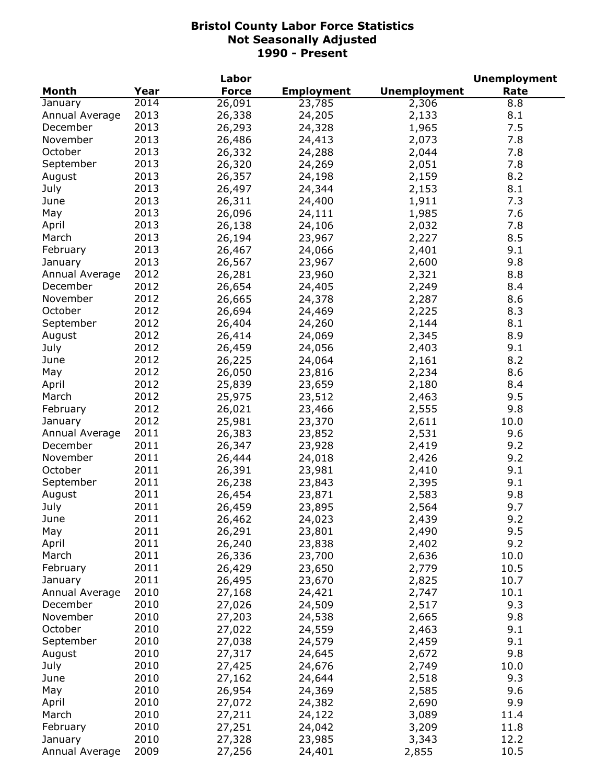|                           |      | Labor        |                   |                     | <b>Unemployment</b> |
|---------------------------|------|--------------|-------------------|---------------------|---------------------|
| <b>Month</b>              | Year | <b>Force</b> | <b>Employment</b> | <b>Unemployment</b> | Rate                |
| January                   | 2014 | 26,091       | 23,785            | 2,306               | 8.8                 |
| Annual Average            | 2013 | 26,338       | 24,205            | 2,133               | 8.1                 |
| December                  | 2013 | 26,293       | 24,328            | 1,965               | 7.5                 |
| November                  | 2013 | 26,486       | 24,413            | 2,073               | 7.8                 |
| October                   | 2013 | 26,332       | 24,288            | 2,044               | 7.8                 |
| September                 | 2013 | 26,320       | 24,269            | 2,051               | 7.8                 |
| August                    | 2013 | 26,357       | 24,198            | 2,159               | 8.2                 |
| July                      | 2013 | 26,497       | 24,344            | 2,153               | 8.1                 |
| June                      | 2013 | 26,311       | 24,400            | 1,911               | 7.3                 |
| May                       | 2013 | 26,096       | 24,111            | 1,985               | 7.6                 |
| April                     | 2013 | 26,138       | 24,106            | 2,032               | 7.8                 |
| March                     | 2013 | 26,194       | 23,967            | 2,227               | 8.5                 |
| February                  | 2013 | 26,467       | 24,066            | 2,401               | 9.1                 |
|                           | 2013 |              |                   |                     | 9.8                 |
| January<br>Annual Average |      | 26,567       | 23,967            | 2,600               |                     |
|                           | 2012 | 26,281       | 23,960            | 2,321               | 8.8                 |
| December                  | 2012 | 26,654       | 24,405            | 2,249               | 8.4                 |
| November                  | 2012 | 26,665       | 24,378            | 2,287               | 8.6                 |
| October                   | 2012 | 26,694       | 24,469            | 2,225               | 8.3                 |
| September                 | 2012 | 26,404       | 24,260            | 2,144               | 8.1                 |
| August                    | 2012 | 26,414       | 24,069            | 2,345               | 8.9                 |
| July                      | 2012 | 26,459       | 24,056            | 2,403               | 9.1                 |
| June                      | 2012 | 26,225       | 24,064            | 2,161               | 8.2                 |
| May                       | 2012 | 26,050       | 23,816            | 2,234               | 8.6                 |
| April                     | 2012 | 25,839       | 23,659            | 2,180               | 8.4                 |
| March                     | 2012 | 25,975       | 23,512            | 2,463               | 9.5                 |
| February                  | 2012 | 26,021       | 23,466            | 2,555               | 9.8                 |
| January                   | 2012 | 25,981       | 23,370            | 2,611               | 10.0                |
| Annual Average            | 2011 | 26,383       | 23,852            | 2,531               | 9.6                 |
| December                  | 2011 | 26,347       | 23,928            | 2,419               | 9.2                 |
| November                  | 2011 | 26,444       | 24,018            | 2,426               | 9.2                 |
| October                   | 2011 | 26,391       | 23,981            | 2,410               | 9.1                 |
| September                 | 2011 | 26,238       | 23,843            | 2,395               | 9.1                 |
| August                    | 2011 | 26,454       | 23,871            | 2,583               | 9.8                 |
| July                      | 2011 | 26,459       | 23,895            | 2,564               | 9.7                 |
| June                      | 2011 | 26,462       | 24,023            | 2,439               | 9.2                 |
| May                       | 2011 | 26,291       | 23,801            | 2,490               | 9.5                 |
| April                     | 2011 | 26,240       | 23,838            | 2,402               | 9.2                 |
| March                     | 2011 | 26,336       | 23,700            | 2,636               | 10.0                |
| February                  | 2011 | 26,429       | 23,650            | 2,779               | 10.5                |
| January                   | 2011 | 26,495       | 23,670            | 2,825               | 10.7                |
| Annual Average            | 2010 | 27,168       | 24,421            | 2,747               | 10.1                |
| December                  | 2010 | 27,026       | 24,509            | 2,517               | 9.3                 |
| November                  |      | 27,203       |                   |                     |                     |
|                           | 2010 |              | 24,538            | 2,665               | 9.8                 |
| October                   | 2010 | 27,022       | 24,559            | 2,463               | 9.1                 |
| September                 | 2010 | 27,038       | 24,579            | 2,459               | 9.1                 |
| August                    | 2010 | 27,317       | 24,645            | 2,672               | 9.8                 |
| July                      | 2010 | 27,425       | 24,676            | 2,749               | 10.0                |
| June                      | 2010 | 27,162       | 24,644            | 2,518               | 9.3                 |
| May                       | 2010 | 26,954       | 24,369            | 2,585               | 9.6                 |
| April                     | 2010 | 27,072       | 24,382            | 2,690               | 9.9                 |
| March                     | 2010 | 27,211       | 24,122            | 3,089               | 11.4                |
| February                  | 2010 | 27,251       | 24,042            | 3,209               | 11.8                |
| January                   | 2010 | 27,328       | 23,985            | 3,343               | 12.2                |
| Annual Average            | 2009 | 27,256       | 24,401            | 2,855               | 10.5                |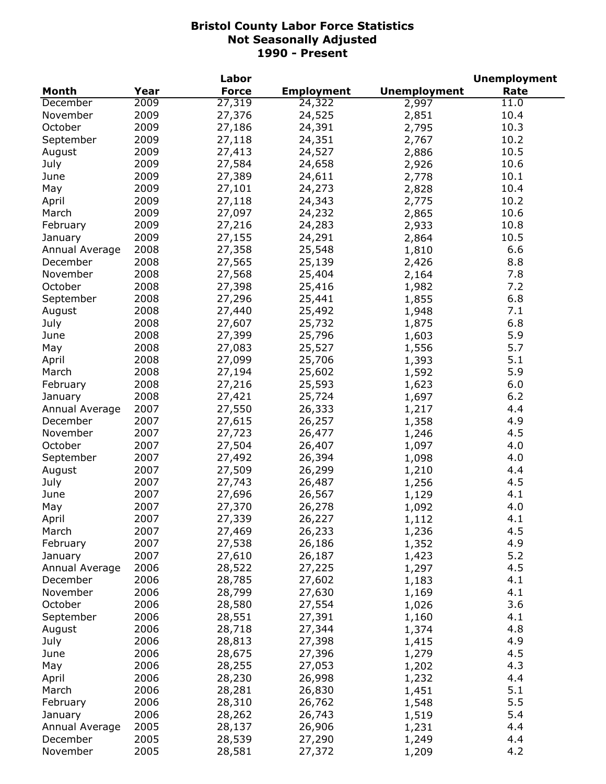|                |      | Labor        |                   |                     | <b>Unemployment</b> |
|----------------|------|--------------|-------------------|---------------------|---------------------|
| <b>Month</b>   | Year | <b>Force</b> | <b>Employment</b> | <b>Unemployment</b> | Rate                |
| December       | 2009 | 27,319       | 24,322            | 2,997               | 11.0                |
| November       | 2009 | 27,376       | 24,525            | 2,851               | 10.4                |
| October        | 2009 | 27,186       | 24,391            | 2,795               | 10.3                |
| September      | 2009 | 27,118       | 24,351            | 2,767               | 10.2                |
| August         | 2009 | 27,413       | 24,527            | 2,886               | 10.5                |
| July           | 2009 | 27,584       | 24,658            | 2,926               | 10.6                |
| June           | 2009 | 27,389       | 24,611            | 2,778               | 10.1                |
| May            | 2009 | 27,101       | 24,273            | 2,828               | 10.4                |
| April          | 2009 | 27,118       | 24,343            | 2,775               | 10.2                |
| March          | 2009 | 27,097       | 24,232            | 2,865               | 10.6                |
| February       | 2009 | 27,216       | 24,283            | 2,933               | 10.8                |
| January        | 2009 | 27,155       | 24,291            | 2,864               | 10.5                |
| Annual Average | 2008 | 27,358       | 25,548            | 1,810               | 6.6                 |
| December       | 2008 | 27,565       | 25,139            | 2,426               | 8.8                 |
| November       | 2008 | 27,568       | 25,404            | 2,164               | 7.8                 |
| October        | 2008 | 27,398       | 25,416            | 1,982               | 7.2                 |
| September      | 2008 | 27,296       | 25,441            | 1,855               | 6.8                 |
| August         | 2008 | 27,440       | 25,492            | 1,948               | 7.1                 |
| July           | 2008 | 27,607       | 25,732            | 1,875               | 6.8                 |
| June           | 2008 | 27,399       | 25,796            |                     | 5.9                 |
|                | 2008 |              |                   | 1,603               | 5.7                 |
| May            |      | 27,083       | 25,527            | 1,556               |                     |
| April          | 2008 | 27,099       | 25,706            | 1,393               | 5.1                 |
| March          | 2008 | 27,194       | 25,602            | 1,592               | 5.9                 |
| February       | 2008 | 27,216       | 25,593            | 1,623               | 6.0                 |
| January        | 2008 | 27,421       | 25,724            | 1,697               | 6.2                 |
| Annual Average | 2007 | 27,550       | 26,333            | 1,217               | 4.4                 |
| December       | 2007 | 27,615       | 26,257            | 1,358               | 4.9                 |
| November       | 2007 | 27,723       | 26,477            | 1,246               | 4.5                 |
| October        | 2007 | 27,504       | 26,407            | 1,097               | 4.0                 |
| September      | 2007 | 27,492       | 26,394            | 1,098               | 4.0                 |
| August         | 2007 | 27,509       | 26,299            | 1,210               | 4.4                 |
| July           | 2007 | 27,743       | 26,487            | 1,256               | 4.5                 |
| June           | 2007 | 27,696       | 26,567            | 1,129               | 4.1                 |
| May            | 2007 | 27,370       | 26,278            | 1,092               | 4.0                 |
| April          | 2007 | 27,339       | 26,227            | 1,112               | 4.1                 |
| March          | 2007 | 27,469       | 26,233            | 1,236               | 4.5                 |
| February       | 2007 | 27,538       | 26,186            | 1,352               | 4.9                 |
| January        | 2007 | 27,610       | 26,187            | 1,423               | 5.2                 |
| Annual Average | 2006 | 28,522       | 27,225            | 1,297               | 4.5                 |
| December       | 2006 | 28,785       | 27,602            | 1,183               | 4.1                 |
| November       | 2006 | 28,799       | 27,630            | 1,169               | 4.1                 |
| October        | 2006 | 28,580       | 27,554            | 1,026               | 3.6                 |
| September      | 2006 | 28,551       | 27,391            | 1,160               | 4.1                 |
| August         | 2006 | 28,718       | 27,344            | 1,374               | 4.8                 |
| July           | 2006 | 28,813       | 27,398            | 1,415               | 4.9                 |
| June           | 2006 | 28,675       | 27,396            | 1,279               | 4.5                 |
| May            | 2006 | 28,255       | 27,053            | 1,202               | 4.3                 |
| April          | 2006 | 28,230       | 26,998            |                     | 4.4                 |
| March          | 2006 |              |                   | 1,232               | 5.1                 |
|                |      | 28,281       | 26,830            | 1,451               |                     |
| February       | 2006 | 28,310       | 26,762            | 1,548               | 5.5                 |
| January        | 2006 | 28,262       | 26,743            | 1,519               | 5.4                 |
| Annual Average | 2005 | 28,137       | 26,906            | 1,231               | 4.4                 |
| December       | 2005 | 28,539       | 27,290            | 1,249               | 4.4                 |
| November       | 2005 | 28,581       | 27,372            | 1,209               | 4.2                 |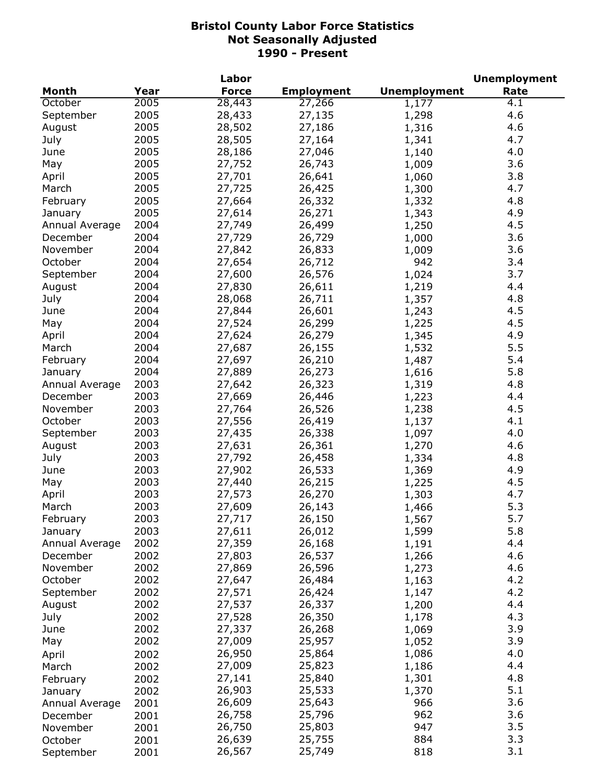|                |      | Labor        |                   |                     | <b>Unemployment</b> |
|----------------|------|--------------|-------------------|---------------------|---------------------|
| <b>Month</b>   | Year | <b>Force</b> | <b>Employment</b> | <b>Unemployment</b> | Rate                |
| October        | 2005 | 28,443       | 27,266            | 1,177               | 4.1                 |
| September      | 2005 | 28,433       | 27,135            | 1,298               | 4.6                 |
| August         | 2005 | 28,502       | 27,186            | 1,316               | 4.6                 |
| July           | 2005 | 28,505       | 27,164            | 1,341               | 4.7                 |
| June           | 2005 | 28,186       | 27,046            | 1,140               | 4.0                 |
| May            | 2005 | 27,752       | 26,743            | 1,009               | 3.6                 |
| April          | 2005 | 27,701       | 26,641            | 1,060               | 3.8                 |
| March          | 2005 | 27,725       | 26,425            | 1,300               | 4.7                 |
| February       | 2005 | 27,664       | 26,332            | 1,332               | 4.8                 |
| January        | 2005 | 27,614       | 26,271            | 1,343               | 4.9                 |
| Annual Average | 2004 | 27,749       | 26,499            | 1,250               | 4.5                 |
| December       | 2004 | 27,729       | 26,729            | 1,000               | 3.6                 |
| November       | 2004 | 27,842       | 26,833            | 1,009               | 3.6                 |
| October        | 2004 | 27,654       | 26,712            | 942                 | 3.4                 |
| September      | 2004 | 27,600       | 26,576            | 1,024               | 3.7                 |
| August         | 2004 | 27,830       | 26,611            | 1,219               | 4.4                 |
| July           | 2004 | 28,068       | 26,711            | 1,357               | 4.8                 |
|                | 2004 | 27,844       | 26,601            |                     | 4.5                 |
| June           | 2004 |              |                   | 1,243               | 4.5                 |
| May            |      | 27,524       | 26,299            | 1,225               |                     |
| April          | 2004 | 27,624       | 26,279            | 1,345               | 4.9                 |
| March          | 2004 | 27,687       | 26,155            | 1,532               | 5.5                 |
| February       | 2004 | 27,697       | 26,210            | 1,487               | 5.4                 |
| January        | 2004 | 27,889       | 26,273            | 1,616               | 5.8                 |
| Annual Average | 2003 | 27,642       | 26,323            | 1,319               | 4.8                 |
| December       | 2003 | 27,669       | 26,446            | 1,223               | 4.4                 |
| November       | 2003 | 27,764       | 26,526            | 1,238               | 4.5                 |
| October        | 2003 | 27,556       | 26,419            | 1,137               | 4.1                 |
| September      | 2003 | 27,435       | 26,338            | 1,097               | 4.0                 |
| August         | 2003 | 27,631       | 26,361            | 1,270               | 4.6                 |
| July           | 2003 | 27,792       | 26,458            | 1,334               | 4.8                 |
| June           | 2003 | 27,902       | 26,533            | 1,369               | 4.9                 |
| May            | 2003 | 27,440       | 26,215            | 1,225               | 4.5                 |
| April          | 2003 | 27,573       | 26,270            | 1,303               | 4.7                 |
| March          | 2003 | 27,609       | 26,143            | 1,466               | 5.3                 |
| February       | 2003 | 27,717       | 26,150            | 1,567               | 5.7                 |
| January        | 2003 | 27,611       | 26,012            | 1,599               | 5.8                 |
| Annual Average | 2002 | 27,359       | 26,168            | 1,191               | 4.4                 |
| December       | 2002 | 27,803       | 26,537            | 1,266               | 4.6                 |
| November       | 2002 | 27,869       | 26,596            | 1,273               | 4.6                 |
| October        | 2002 | 27,647       | 26,484            | 1,163               | 4.2                 |
| September      | 2002 | 27,571       | 26,424            | 1,147               | 4.2                 |
| August         | 2002 | 27,537       | 26,337            | 1,200               | 4.4                 |
| July           | 2002 | 27,528       | 26,350            | 1,178               | 4.3                 |
| June           | 2002 | 27,337       | 26,268            | 1,069               | 3.9                 |
| May            | 2002 | 27,009       | 25,957            | 1,052               | 3.9                 |
| April          | 2002 | 26,950       | 25,864            | 1,086               | 4.0                 |
| March          | 2002 | 27,009       | 25,823            | 1,186               | 4.4                 |
| February       | 2002 | 27,141       | 25,840            | 1,301               | 4.8                 |
| January        | 2002 | 26,903       | 25,533            | 1,370               | 5.1                 |
| Annual Average | 2001 | 26,609       | 25,643            | 966                 | 3.6                 |
| December       | 2001 | 26,758       | 25,796            | 962                 | 3.6                 |
| November       | 2001 | 26,750       | 25,803            | 947                 | 3.5                 |
| October        | 2001 | 26,639       | 25,755            | 884                 | 3.3                 |
| September      | 2001 | 26,567       | 25,749            | 818                 | 3.1                 |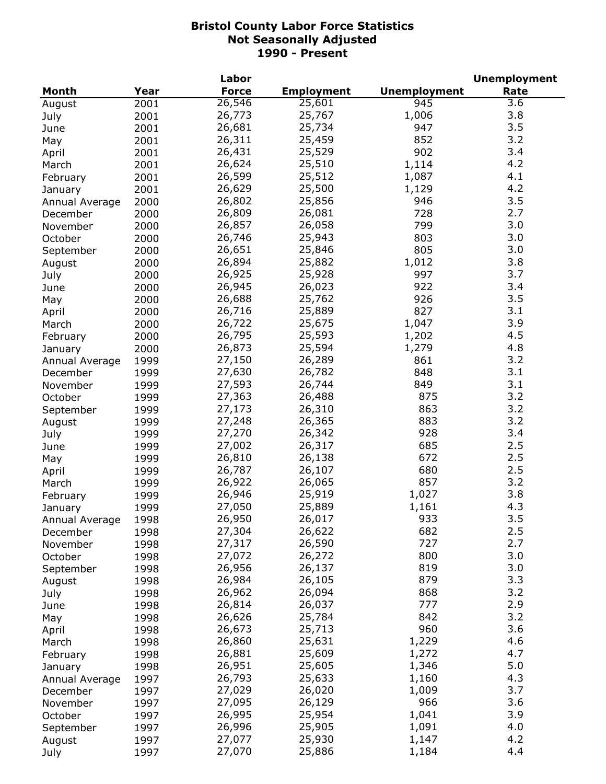|                |      | Labor        |                   |                     | <b>Unemployment</b> |
|----------------|------|--------------|-------------------|---------------------|---------------------|
| <b>Month</b>   | Year | <b>Force</b> | <b>Employment</b> | <b>Unemployment</b> | Rate                |
| August         | 2001 | 26,546       | 25,601            | 945                 | 3.6                 |
| July           | 2001 | 26,773       | 25,767            | 1,006               | 3.8                 |
| June           | 2001 | 26,681       | 25,734            | 947                 | 3.5                 |
| May            | 2001 | 26,311       | 25,459            | 852                 | 3.2                 |
| April          | 2001 | 26,431       | 25,529            | 902                 | 3.4                 |
| March          | 2001 | 26,624       | 25,510            | 1,114               | 4.2                 |
| February       | 2001 | 26,599       | 25,512            | 1,087               | 4.1                 |
| January        | 2001 | 26,629       | 25,500            | 1,129               | 4.2                 |
| Annual Average | 2000 | 26,802       | 25,856            | 946                 | 3.5                 |
| December       | 2000 | 26,809       | 26,081            | 728                 | 2.7                 |
| November       | 2000 | 26,857       | 26,058            | 799                 | 3.0                 |
| October        |      | 26,746       | 25,943            | 803                 | 3.0                 |
|                | 2000 | 26,651       |                   | 805                 | 3.0                 |
| September      | 2000 |              | 25,846            |                     |                     |
| August         | 2000 | 26,894       | 25,882            | 1,012               | 3.8                 |
| July           | 2000 | 26,925       | 25,928            | 997                 | 3.7                 |
| June           | 2000 | 26,945       | 26,023            | 922                 | 3.4                 |
| May            | 2000 | 26,688       | 25,762            | 926                 | 3.5                 |
| April          | 2000 | 26,716       | 25,889            | 827                 | 3.1                 |
| March          | 2000 | 26,722       | 25,675            | 1,047               | 3.9                 |
| February       | 2000 | 26,795       | 25,593            | 1,202               | 4.5                 |
| January        | 2000 | 26,873       | 25,594            | 1,279               | 4.8                 |
| Annual Average | 1999 | 27,150       | 26,289            | 861                 | 3.2                 |
| December       | 1999 | 27,630       | 26,782            | 848                 | 3.1                 |
| November       | 1999 | 27,593       | 26,744            | 849                 | 3.1                 |
| October        | 1999 | 27,363       | 26,488            | 875                 | 3.2                 |
| September      | 1999 | 27,173       | 26,310            | 863                 | 3.2                 |
| August         | 1999 | 27,248       | 26,365            | 883                 | 3.2                 |
| July           | 1999 | 27,270       | 26,342            | 928                 | 3.4                 |
| June           | 1999 | 27,002       | 26,317            | 685                 | 2.5                 |
| May            | 1999 | 26,810       | 26,138            | 672                 | 2.5                 |
| April          | 1999 | 26,787       | 26,107            | 680                 | 2.5                 |
| March          | 1999 | 26,922       | 26,065            | 857                 | 3.2                 |
| February       | 1999 | 26,946       | 25,919            | 1,027               | 3.8                 |
| January        | 1999 | 27,050       | 25,889            | 1,161               | 4.3                 |
| Annual Average | 1998 | 26,950       | 26,017            | 933                 | 3.5                 |
| December       | 1998 | 27,304       | 26,622            | 682                 | 2.5                 |
| November       | 1998 | 27,317       | 26,590            | 727                 | 2.7                 |
| October        | 1998 | 27,072       | 26,272            | 800                 | 3.0                 |
| September      | 1998 | 26,956       | 26,137            | 819                 | 3.0                 |
| August         | 1998 | 26,984       | 26,105            | 879                 | 3.3                 |
| July           | 1998 | 26,962       | 26,094            | 868                 | 3.2                 |
| June           | 1998 | 26,814       | 26,037            | 777                 | 2.9                 |
| May            | 1998 | 26,626       | 25,784            | 842                 | 3.2                 |
|                | 1998 | 26,673       | 25,713            | 960                 | 3.6                 |
| April          |      | 26,860       | 25,631            | 1,229               | 4.6                 |
| March          | 1998 | 26,881       | 25,609            | 1,272               | 4.7                 |
| February       | 1998 |              |                   |                     | 5.0                 |
| January        | 1998 | 26,951       | 25,605            | 1,346               |                     |
| Annual Average | 1997 | 26,793       | 25,633            | 1,160               | 4.3                 |
| December       | 1997 | 27,029       | 26,020            | 1,009               | 3.7                 |
| November       | 1997 | 27,095       | 26,129            | 966                 | 3.6                 |
| October        | 1997 | 26,995       | 25,954            | 1,041               | 3.9                 |
| September      | 1997 | 26,996       | 25,905            | 1,091               | 4.0                 |
| August         | 1997 | 27,077       | 25,930            | 1,147               | 4.2                 |
| July           | 1997 | 27,070       | 25,886            | 1,184               | 4.4                 |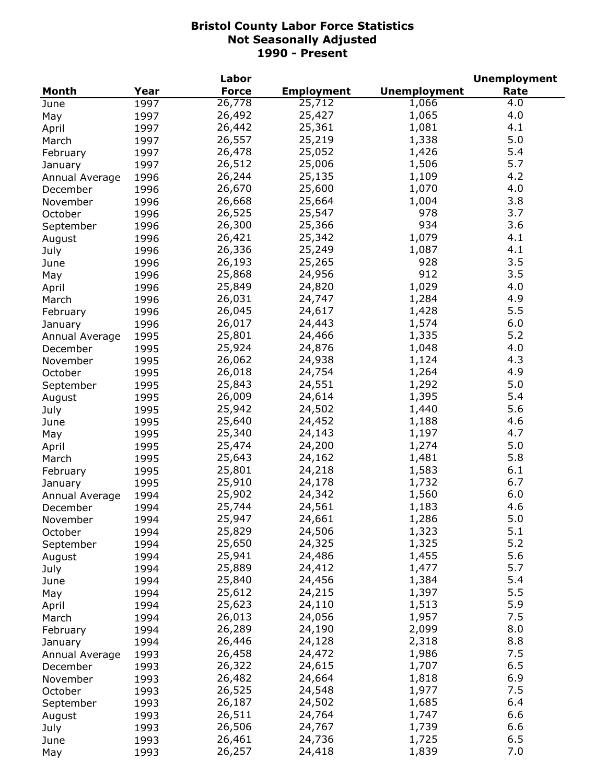|                |      | Labor        |                   |                     | <b>Unemployment</b> |
|----------------|------|--------------|-------------------|---------------------|---------------------|
| <b>Month</b>   | Year | <b>Force</b> | <b>Employment</b> | <b>Unemployment</b> | Rate                |
| June           | 1997 | 26,778       | 25,712            | 1,066               | 4.0                 |
| May            | 1997 | 26,492       | 25,427            | 1,065               | 4.0                 |
| April          | 1997 | 26,442       | 25,361            | 1,081               | 4.1                 |
| March          | 1997 | 26,557       | 25,219            | 1,338               | 5.0                 |
| February       | 1997 | 26,478       | 25,052            | 1,426               | 5.4                 |
| January        | 1997 | 26,512       | 25,006            | 1,506               | 5.7                 |
| Annual Average | 1996 | 26,244       | 25,135            | 1,109               | 4.2                 |
| December       | 1996 | 26,670       | 25,600            | 1,070               | 4.0                 |
| November       | 1996 | 26,668       | 25,664            | 1,004               | 3.8                 |
| October        | 1996 | 26,525       | 25,547            | 978                 | 3.7                 |
|                |      | 26,300       | 25,366            | 934                 | 3.6                 |
| September      | 1996 | 26,421       | 25,342            | 1,079               | 4.1                 |
| August         | 1996 |              |                   |                     | 4.1                 |
| July           | 1996 | 26,336       | 25,249            | 1,087               |                     |
| June           | 1996 | 26,193       | 25,265            | 928                 | 3.5                 |
| May            | 1996 | 25,868       | 24,956            | 912                 | 3.5                 |
| April          | 1996 | 25,849       | 24,820            | 1,029               | 4.0                 |
| March          | 1996 | 26,031       | 24,747            | 1,284               | 4.9                 |
| February       | 1996 | 26,045       | 24,617            | 1,428               | 5.5                 |
| January        | 1996 | 26,017       | 24,443            | 1,574               | 6.0                 |
| Annual Average | 1995 | 25,801       | 24,466            | 1,335               | 5.2                 |
| December       | 1995 | 25,924       | 24,876            | 1,048               | 4.0                 |
| November       | 1995 | 26,062       | 24,938            | 1,124               | 4.3                 |
| October        | 1995 | 26,018       | 24,754            | 1,264               | 4.9                 |
| September      | 1995 | 25,843       | 24,551            | 1,292               | 5.0                 |
| August         | 1995 | 26,009       | 24,614            | 1,395               | 5.4                 |
| July           | 1995 | 25,942       | 24,502            | 1,440               | 5.6                 |
| June           | 1995 | 25,640       | 24,452            | 1,188               | 4.6                 |
| May            | 1995 | 25,340       | 24,143            | 1,197               | 4.7                 |
| April          | 1995 | 25,474       | 24,200            | 1,274               | 5.0                 |
| March          | 1995 | 25,643       | 24,162            | 1,481               | 5.8                 |
| February       | 1995 | 25,801       | 24,218            | 1,583               | 6.1                 |
| January        | 1995 | 25,910       | 24,178            | 1,732               | 6.7                 |
| Annual Average | 1994 | 25,902       | 24,342            | 1,560               | 6.0                 |
| December       | 1994 | 25,744       | 24,561            | 1,183               | 4.6                 |
| November       | 1994 | 25,947       | 24,661            | 1,286               | 5.0                 |
| October        | 1994 | 25,829       | 24,506            | 1,323               | 5.1                 |
|                | 1994 | 25,650       | 24,325            | 1,325               | 5.2                 |
| September      | 1994 | 25,941       | 24,486            | 1,455               | 5.6                 |
| August         |      | 25,889       | 24,412            | 1,477               | 5.7                 |
| July           | 1994 | 25,840       | 24,456            | 1,384               | 5.4                 |
| June           | 1994 |              |                   |                     | 5.5                 |
| May            | 1994 | 25,612       | 24,215            | 1,397               | 5.9                 |
| April          | 1994 | 25,623       | 24,110            | 1,513               |                     |
| March          | 1994 | 26,013       | 24,056            | 1,957               | 7.5                 |
| February       | 1994 | 26,289       | 24,190            | 2,099               | 8.0                 |
| January        | 1994 | 26,446       | 24,128            | 2,318               | 8.8                 |
| Annual Average | 1993 | 26,458       | 24,472            | 1,986               | 7.5                 |
| December       | 1993 | 26,322       | 24,615            | 1,707               | 6.5                 |
| November       | 1993 | 26,482       | 24,664            | 1,818               | 6.9                 |
| October        | 1993 | 26,525       | 24,548            | 1,977               | 7.5                 |
| September      | 1993 | 26,187       | 24,502            | 1,685               | 6.4                 |
| August         | 1993 | 26,511       | 24,764            | 1,747               | 6.6                 |
| July           | 1993 | 26,506       | 24,767            | 1,739               | 6.6                 |
| June           | 1993 | 26,461       | 24,736            | 1,725               | 6.5                 |
| May            | 1993 | 26,257       | 24,418            | 1,839               | 7.0                 |